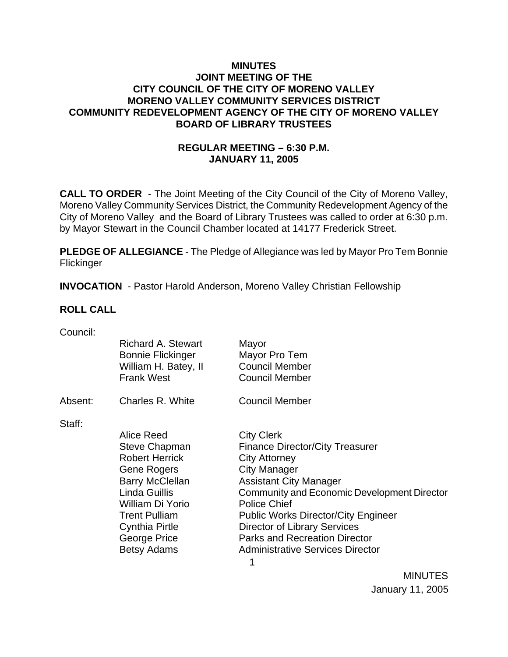## **MINUTES JOINT MEETING OF THE CITY COUNCIL OF THE CITY OF MORENO VALLEY MORENO VALLEY COMMUNITY SERVICES DISTRICT COMMUNITY REDEVELOPMENT AGENCY OF THE CITY OF MORENO VALLEY BOARD OF LIBRARY TRUSTEES**

# **REGULAR MEETING – 6:30 P.M. JANUARY 11, 2005**

**CALL TO ORDER** - The Joint Meeting of the City Council of the City of Moreno Valley, Moreno Valley Community Services District, the Community Redevelopment Agency of the City of Moreno Valley and the Board of Library Trustees was called to order at 6:30 p.m. by Mayor Stewart in the Council Chamber located at 14177 Frederick Street.

**PLEDGE OF ALLEGIANCE** - The Pledge of Allegiance was led by Mayor Pro Tem Bonnie **Flickinger** 

**INVOCATION** - Pastor Harold Anderson, Moreno Valley Christian Fellowship

## **ROLL CALL**

| Council: |  |
|----------|--|

|         | <b>Richard A. Stewart</b><br><b>Bonnie Flickinger</b><br>William H. Batey, II<br><b>Frank West</b>                                                                                                                                      | Mayor<br>Mayor Pro Tem<br><b>Council Member</b><br><b>Council Member</b>                                                                                                                                                                                                                                                                                                                  |
|---------|-----------------------------------------------------------------------------------------------------------------------------------------------------------------------------------------------------------------------------------------|-------------------------------------------------------------------------------------------------------------------------------------------------------------------------------------------------------------------------------------------------------------------------------------------------------------------------------------------------------------------------------------------|
| Absent: | Charles R. White                                                                                                                                                                                                                        | <b>Council Member</b>                                                                                                                                                                                                                                                                                                                                                                     |
| Staff:  | Alice Reed<br><b>Steve Chapman</b><br><b>Robert Herrick</b><br><b>Gene Rogers</b><br><b>Barry McClellan</b><br>Linda Guillis<br>William Di Yorio<br><b>Trent Pulliam</b><br><b>Cynthia Pirtle</b><br>George Price<br><b>Betsy Adams</b> | <b>City Clerk</b><br><b>Finance Director/City Treasurer</b><br><b>City Attorney</b><br><b>City Manager</b><br><b>Assistant City Manager</b><br>Community and Economic Development Director<br><b>Police Chief</b><br><b>Public Works Director/City Engineer</b><br><b>Director of Library Services</b><br><b>Parks and Recreation Director</b><br><b>Administrative Services Director</b> |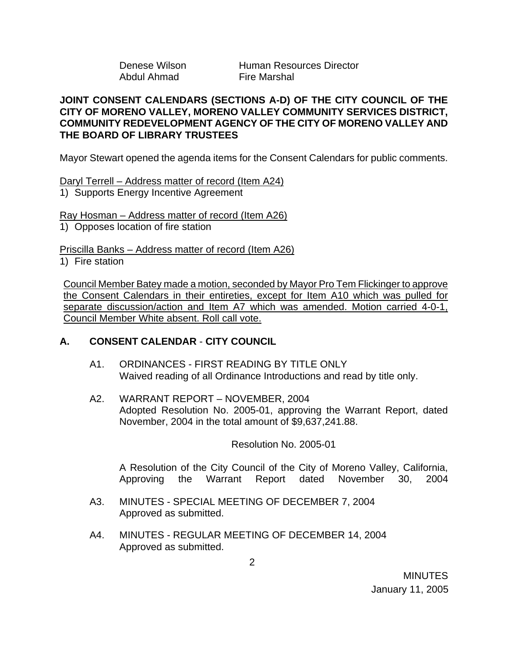Abdul Ahmad Fire Marshal

Denese Wilson **Human Resources Director** 

### **JOINT CONSENT CALENDARS (SECTIONS A-D) OF THE CITY COUNCIL OF THE CITY OF MORENO VALLEY, MORENO VALLEY COMMUNITY SERVICES DISTRICT, COMMUNITY REDEVELOPMENT AGENCY OF THE CITY OF MORENO VALLEY AND THE BOARD OF LIBRARY TRUSTEES**

Mayor Stewart opened the agenda items for the Consent Calendars for public comments.

Daryl Terrell – Address matter of record (Item A24) 1) Supports Energy Incentive Agreement

Ray Hosman – Address matter of record (Item A26) 1) Opposes location of fire station

Priscilla Banks – Address matter of record (Item A26)

1) Fire station

Council Member Batey made a motion, seconded by Mayor Pro Tem Flickinger to approve the Consent Calendars in their entireties, except for Item A10 which was pulled for separate discussion/action and Item A7 which was amended. Motion carried 4-0-1, Council Member White absent. Roll call vote.

# **A. CONSENT CALENDAR** - **CITY COUNCIL**

- A1. ORDINANCES FIRST READING BY TITLE ONLY Waived reading of all Ordinance Introductions and read by title only.
- A2. WARRANT REPORT NOVEMBER, 2004 Adopted Resolution No. 2005-01, approving the Warrant Report, dated November, 2004 in the total amount of \$9,637,241.88.

Resolution No. 2005-01

 A Resolution of the City Council of the City of Moreno Valley, California, Approving the Warrant Report dated November 30, 2004

- A3. MINUTES SPECIAL MEETING OF DECEMBER 7, 2004 Approved as submitted.
- A4. MINUTES REGULAR MEETING OF DECEMBER 14, 2004 Approved as submitted.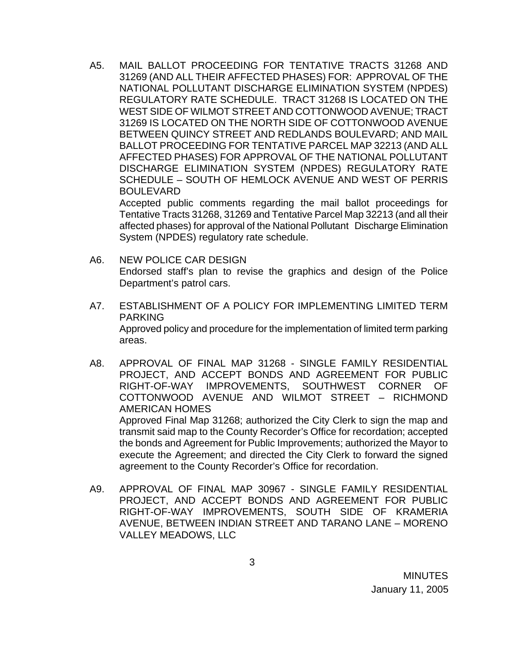A5. MAIL BALLOT PROCEEDING FOR TENTATIVE TRACTS 31268 AND 31269 (AND ALL THEIR AFFECTED PHASES) FOR: APPROVAL OF THE NATIONAL POLLUTANT DISCHARGE ELIMINATION SYSTEM (NPDES) REGULATORY RATE SCHEDULE. TRACT 31268 IS LOCATED ON THE WEST SIDE OF WILMOT STREET AND COTTONWOOD AVENUE; TRACT 31269 IS LOCATED ON THE NORTH SIDE OF COTTONWOOD AVENUE BETWEEN QUINCY STREET AND REDLANDS BOULEVARD; AND MAIL BALLOT PROCEEDING FOR TENTATIVE PARCEL MAP 32213 (AND ALL AFFECTED PHASES) FOR APPROVAL OF THE NATIONAL POLLUTANT DISCHARGE ELIMINATION SYSTEM (NPDES) REGULATORY RATE SCHEDULE – SOUTH OF HEMLOCK AVENUE AND WEST OF PERRIS BOULEVARD

Accepted public comments regarding the mail ballot proceedings for Tentative Tracts 31268, 31269 and Tentative Parcel Map 32213 (and all their affected phases) for approval of the National Pollutant Discharge Elimination System (NPDES) regulatory rate schedule.

- A6. NEW POLICE CAR DESIGN Endorsed staff's plan to revise the graphics and design of the Police Department's patrol cars.
- A7. ESTABLISHMENT OF A POLICY FOR IMPLEMENTING LIMITED TERM PARKING Approved policy and procedure for the implementation of limited term parking areas.
- A8. APPROVAL OF FINAL MAP 31268 SINGLE FAMILY RESIDENTIAL PROJECT, AND ACCEPT BONDS AND AGREEMENT FOR PUBLIC RIGHT-OF-WAY IMPROVEMENTS, SOUTHWEST CORNER OF COTTONWOOD AVENUE AND WILMOT STREET – RICHMOND AMERICAN HOMES Approved Final Map 31268; authorized the City Clerk to sign the map and transmit said map to the County Recorder's Office for recordation; accepted the bonds and Agreement for Public Improvements; authorized the Mayor to execute the Agreement; and directed the City Clerk to forward the signed

A9. APPROVAL OF FINAL MAP 30967 - SINGLE FAMILY RESIDENTIAL PROJECT, AND ACCEPT BONDS AND AGREEMENT FOR PUBLIC RIGHT-OF-WAY IMPROVEMENTS, SOUTH SIDE OF KRAMERIA AVENUE, BETWEEN INDIAN STREET AND TARANO LANE – MORENO VALLEY MEADOWS, LLC

agreement to the County Recorder's Office for recordation.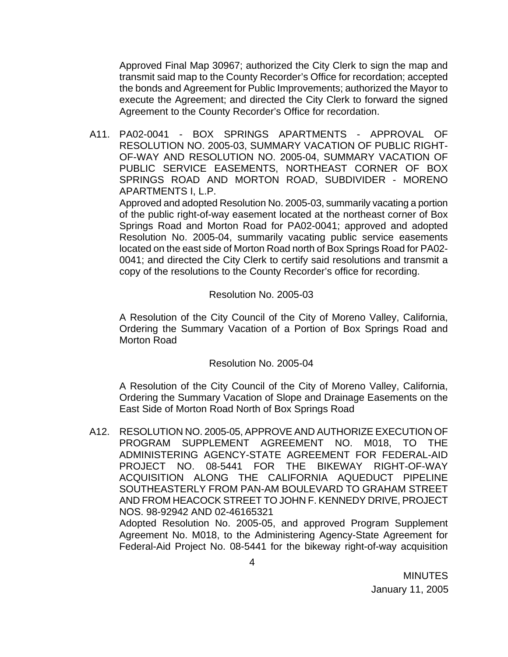Approved Final Map 30967; authorized the City Clerk to sign the map and transmit said map to the County Recorder's Office for recordation; accepted the bonds and Agreement for Public Improvements; authorized the Mayor to execute the Agreement; and directed the City Clerk to forward the signed Agreement to the County Recorder's Office for recordation.

A11. PA02-0041 - BOX SPRINGS APARTMENTS - APPROVAL OF RESOLUTION NO. 2005-03, SUMMARY VACATION OF PUBLIC RIGHT-OF-WAY AND RESOLUTION NO. 2005-04, SUMMARY VACATION OF PUBLIC SERVICE EASEMENTS, NORTHEAST CORNER OF BOX SPRINGS ROAD AND MORTON ROAD, SUBDIVIDER - MORENO APARTMENTS I, L.P.

 Approved and adopted Resolution No. 2005-03, summarily vacating a portion of the public right-of-way easement located at the northeast corner of Box Springs Road and Morton Road for PA02-0041; approved and adopted Resolution No. 2005-04, summarily vacating public service easements located on the east side of Morton Road north of Box Springs Road for PA02- 0041; and directed the City Clerk to certify said resolutions and transmit a copy of the resolutions to the County Recorder's office for recording.

### Resolution No. 2005-03

 A Resolution of the City Council of the City of Moreno Valley, California, Ordering the Summary Vacation of a Portion of Box Springs Road and Morton Road

### Resolution No. 2005-04

A Resolution of the City Council of the City of Moreno Valley, California, Ordering the Summary Vacation of Slope and Drainage Easements on the East Side of Morton Road North of Box Springs Road

A12. RESOLUTION NO. 2005-05, APPROVE AND AUTHORIZE EXECUTION OF PROGRAM SUPPLEMENT AGREEMENT NO. M018, TO THE ADMINISTERING AGENCY-STATE AGREEMENT FOR FEDERAL-AID PROJECT NO. 08-5441 FOR THE BIKEWAY RIGHT-OF-WAY ACQUISITION ALONG THE CALIFORNIA AQUEDUCT PIPELINE SOUTHEASTERLY FROM PAN-AM BOULEVARD TO GRAHAM STREET AND FROM HEACOCK STREET TO JOHN F. KENNEDY DRIVE, PROJECT NOS. 98-92942 AND 02-46165321 Adopted Resolution No. 2005-05, and approved Program Supplement

Agreement No. M018, to the Administering Agency-State Agreement for Federal-Aid Project No. 08-5441 for the bikeway right-of-way acquisition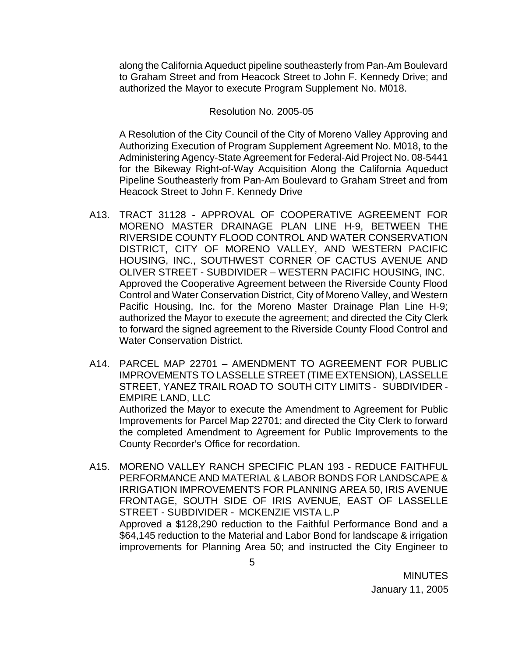along the California Aqueduct pipeline southeasterly from Pan-Am Boulevard to Graham Street and from Heacock Street to John F. Kennedy Drive; and authorized the Mayor to execute Program Supplement No. M018.

### Resolution No. 2005-05

A Resolution of the City Council of the City of Moreno Valley Approving and Authorizing Execution of Program Supplement Agreement No. M018, to the Administering Agency-State Agreement for Federal-Aid Project No. 08-5441 for the Bikeway Right-of-Way Acquisition Along the California Aqueduct Pipeline Southeasterly from Pan-Am Boulevard to Graham Street and from Heacock Street to John F. Kennedy Drive

- A13. TRACT 31128 APPROVAL OF COOPERATIVE AGREEMENT FOR MORENO MASTER DRAINAGE PLAN LINE H-9, BETWEEN THE RIVERSIDE COUNTY FLOOD CONTROL AND WATER CONSERVATION DISTRICT, CITY OF MORENO VALLEY, AND WESTERN PACIFIC HOUSING, INC., SOUTHWEST CORNER OF CACTUS AVENUE AND OLIVER STREET - SUBDIVIDER – WESTERN PACIFIC HOUSING, INC. Approved the Cooperative Agreement between the Riverside County Flood Control and Water Conservation District, City of Moreno Valley, and Western Pacific Housing, Inc. for the Moreno Master Drainage Plan Line H-9; authorized the Mayor to execute the agreement; and directed the City Clerk to forward the signed agreement to the Riverside County Flood Control and Water Conservation District.
- A14. PARCEL MAP 22701 AMENDMENT TO AGREEMENT FOR PUBLIC IMPROVEMENTS TO LASSELLE STREET (TIME EXTENSION), LASSELLE STREET, YANEZ TRAIL ROAD TO SOUTH CITY LIMITS - SUBDIVIDER - EMPIRE LAND, LLC Authorized the Mayor to execute the Amendment to Agreement for Public

Improvements for Parcel Map 22701; and directed the City Clerk to forward the completed Amendment to Agreement for Public Improvements to the County Recorder's Office for recordation.

A15. MORENO VALLEY RANCH SPECIFIC PLAN 193 - REDUCE FAITHFUL PERFORMANCE AND MATERIAL & LABOR BONDS FOR LANDSCAPE & IRRIGATION IMPROVEMENTS FOR PLANNING AREA 50, IRIS AVENUE FRONTAGE, SOUTH SIDE OF IRIS AVENUE, EAST OF LASSELLE STREET - SUBDIVIDER - MCKENZIE VISTA L.P Approved a \$128,290 reduction to the Faithful Performance Bond and a \$64,145 reduction to the Material and Labor Bond for landscape & irrigation improvements for Planning Area 50; and instructed the City Engineer to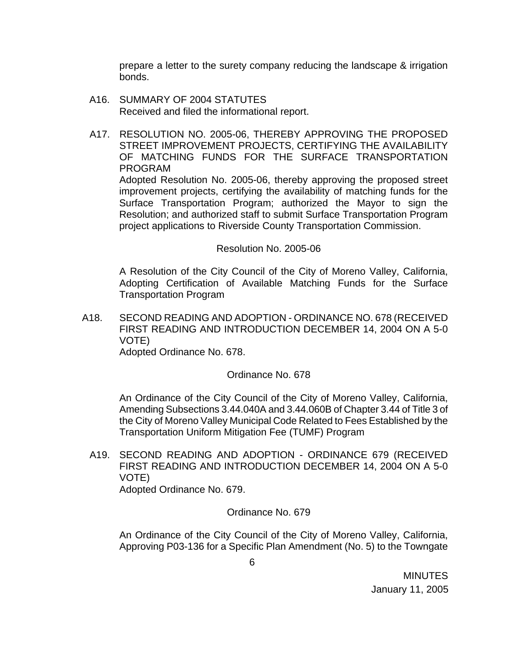prepare a letter to the surety company reducing the landscape & irrigation bonds.

- A16. SUMMARY OF 2004 STATUTES Received and filed the informational report.
- A17. RESOLUTION NO. 2005-06, THEREBY APPROVING THE PROPOSED STREET IMPROVEMENT PROJECTS, CERTIFYING THE AVAILABILITY OF MATCHING FUNDS FOR THE SURFACE TRANSPORTATION PROGRAM Adopted Resolution No. 2005-06, thereby approving the proposed street

improvement projects, certifying the availability of matching funds for the Surface Transportation Program; authorized the Mayor to sign the Resolution; and authorized staff to submit Surface Transportation Program project applications to Riverside County Transportation Commission.

#### Resolution No. 2005-06

 A Resolution of the City Council of the City of Moreno Valley, California, Adopting Certification of Available Matching Funds for the Surface Transportation Program

A18. SECOND READING AND ADOPTION - ORDINANCE NO. 678 (RECEIVED FIRST READING AND INTRODUCTION DECEMBER 14, 2004 ON A 5-0 VOTE)

Adopted Ordinance No. 678.

#### Ordinance No. 678

An Ordinance of the City Council of the City of Moreno Valley, California, Amending Subsections 3.44.040A and 3.44.060B of Chapter 3.44 of Title 3 of the City of Moreno Valley Municipal Code Related to Fees Established by the Transportation Uniform Mitigation Fee (TUMF) Program

A19. SECOND READING AND ADOPTION - ORDINANCE 679 (RECEIVED FIRST READING AND INTRODUCTION DECEMBER 14, 2004 ON A 5-0 VOTE) Adopted Ordinance No. 679.

Ordinance No. 679

 An Ordinance of the City Council of the City of Moreno Valley, California, Approving P03-136 for a Specific Plan Amendment (No. 5) to the Towngate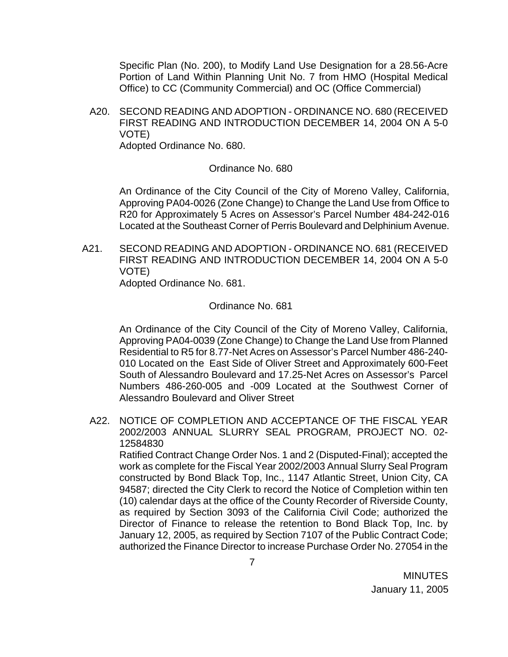Specific Plan (No. 200), to Modify Land Use Designation for a 28.56-Acre Portion of Land Within Planning Unit No. 7 from HMO (Hospital Medical Office) to CC (Community Commercial) and OC (Office Commercial)

A20. SECOND READING AND ADOPTION - ORDINANCE NO. 680 (RECEIVED FIRST READING AND INTRODUCTION DECEMBER 14, 2004 ON A 5-0 VOTE) Adopted Ordinance No. 680.

#### Ordinance No. 680

An Ordinance of the City Council of the City of Moreno Valley, California, Approving PA04-0026 (Zone Change) to Change the Land Use from Office to R20 for Approximately 5 Acres on Assessor's Parcel Number 484-242-016 Located at the Southeast Corner of Perris Boulevard and Delphinium Avenue.

A21. SECOND READING AND ADOPTION - ORDINANCE NO. 681 (RECEIVED FIRST READING AND INTRODUCTION DECEMBER 14, 2004 ON A 5-0 VOTE)

Adopted Ordinance No. 681.

#### Ordinance No. 681

An Ordinance of the City Council of the City of Moreno Valley, California, Approving PA04-0039 (Zone Change) to Change the Land Use from Planned Residential to R5 for 8.77-Net Acres on Assessor's Parcel Number 486-240- 010 Located on the East Side of Oliver Street and Approximately 600-Feet South of Alessandro Boulevard and 17.25-Net Acres on Assessor's Parcel Numbers 486-260-005 and -009 Located at the Southwest Corner of Alessandro Boulevard and Oliver Street

A22. NOTICE OF COMPLETION AND ACCEPTANCE OF THE FISCAL YEAR 2002/2003 ANNUAL SLURRY SEAL PROGRAM, PROJECT NO. 02- 12584830

Ratified Contract Change Order Nos. 1 and 2 (Disputed-Final); accepted the work as complete for the Fiscal Year 2002/2003 Annual Slurry Seal Program constructed by Bond Black Top, Inc., 1147 Atlantic Street, Union City, CA 94587; directed the City Clerk to record the Notice of Completion within ten (10) calendar days at the office of the County Recorder of Riverside County, as required by Section 3093 of the California Civil Code; authorized the Director of Finance to release the retention to Bond Black Top, Inc. by January 12, 2005, as required by Section 7107 of the Public Contract Code; authorized the Finance Director to increase Purchase Order No. 27054 in the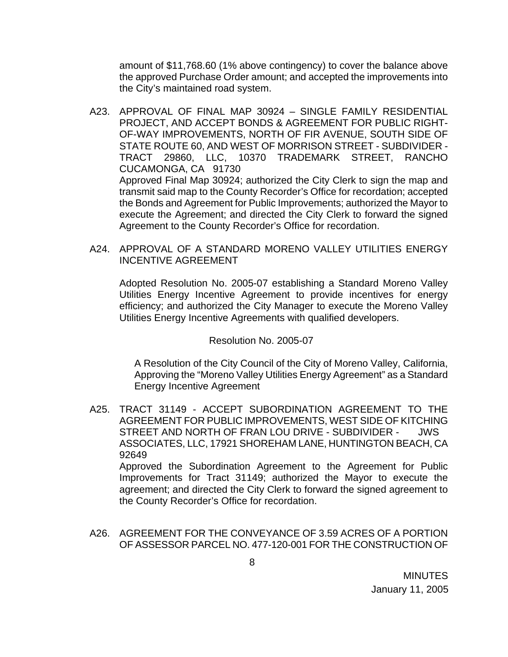amount of \$11,768.60 (1% above contingency) to cover the balance above the approved Purchase Order amount; and accepted the improvements into the City's maintained road system.

- A23. APPROVAL OF FINAL MAP 30924 SINGLE FAMILY RESIDENTIAL PROJECT, AND ACCEPT BONDS & AGREEMENT FOR PUBLIC RIGHT-OF-WAY IMPROVEMENTS, NORTH OF FIR AVENUE, SOUTH SIDE OF STATE ROUTE 60, AND WEST OF MORRISON STREET - SUBDIVIDER - TRACT 29860, LLC, 10370 TRADEMARK STREET, RANCHO CUCAMONGA, CA 91730 Approved Final Map 30924; authorized the City Clerk to sign the map and transmit said map to the County Recorder's Office for recordation; accepted the Bonds and Agreement for Public Improvements; authorized the Mayor to execute the Agreement; and directed the City Clerk to forward the signed Agreement to the County Recorder's Office for recordation.
- A24. APPROVAL OF A STANDARD MORENO VALLEY UTILITIES ENERGY INCENTIVE AGREEMENT

Adopted Resolution No. 2005-07 establishing a Standard Moreno Valley Utilities Energy Incentive Agreement to provide incentives for energy efficiency; and authorized the City Manager to execute the Moreno Valley Utilities Energy Incentive Agreements with qualified developers.

Resolution No. 2005-07

A Resolution of the City Council of the City of Moreno Valley, California, Approving the "Moreno Valley Utilities Energy Agreement" as a Standard Energy Incentive Agreement

A25. TRACT 31149 - ACCEPT SUBORDINATION AGREEMENT TO THE AGREEMENT FOR PUBLIC IMPROVEMENTS, WEST SIDE OF KITCHING STREET AND NORTH OF FRAN LOU DRIVE - SUBDIVIDER - JWS ASSOCIATES, LLC, 17921 SHOREHAM LANE, HUNTINGTON BEACH, CA 92649 Approved the Subordination Agreement to the Agreement for Public

Improvements for Tract 31149; authorized the Mayor to execute the agreement; and directed the City Clerk to forward the signed agreement to the County Recorder's Office for recordation.

A26. AGREEMENT FOR THE CONVEYANCE OF 3.59 ACRES OF A PORTION OF ASSESSOR PARCEL NO. 477-120-001 FOR THE CONSTRUCTION OF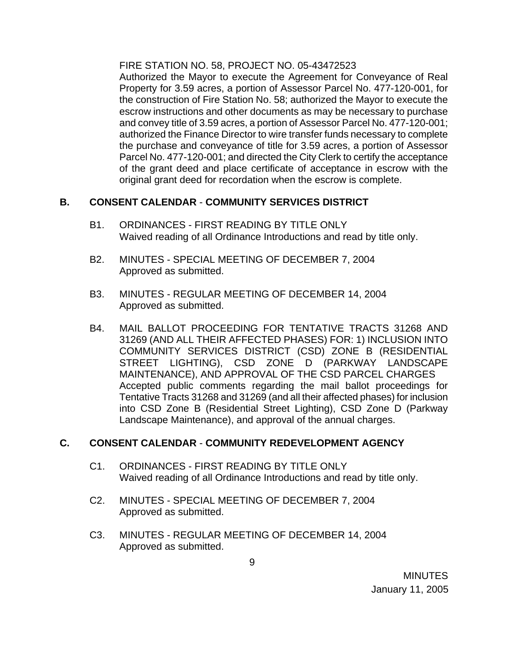FIRE STATION NO. 58, PROJECT NO. 05-43472523

 Authorized the Mayor to execute the Agreement for Conveyance of Real Property for 3.59 acres, a portion of Assessor Parcel No. 477-120-001, for the construction of Fire Station No. 58; authorized the Mayor to execute the escrow instructions and other documents as may be necessary to purchase and convey title of 3.59 acres, a portion of Assessor Parcel No. 477-120-001; authorized the Finance Director to wire transfer funds necessary to complete the purchase and conveyance of title for 3.59 acres, a portion of Assessor Parcel No. 477-120-001; and directed the City Clerk to certify the acceptance of the grant deed and place certificate of acceptance in escrow with the original grant deed for recordation when the escrow is complete.

# **B. CONSENT CALENDAR** - **COMMUNITY SERVICES DISTRICT**

- B1. ORDINANCES FIRST READING BY TITLE ONLY Waived reading of all Ordinance Introductions and read by title only.
- B2. MINUTES SPECIAL MEETING OF DECEMBER 7, 2004 Approved as submitted.
- B3. MINUTES REGULAR MEETING OF DECEMBER 14, 2004 Approved as submitted.
- B4. MAIL BALLOT PROCEEDING FOR TENTATIVE TRACTS 31268 AND 31269 (AND ALL THEIR AFFECTED PHASES) FOR: 1) INCLUSION INTO COMMUNITY SERVICES DISTRICT (CSD) ZONE B (RESIDENTIAL STREET LIGHTING), CSD ZONE D (PARKWAY LANDSCAPE MAINTENANCE), AND APPROVAL OF THE CSD PARCEL CHARGES Accepted public comments regarding the mail ballot proceedings for Tentative Tracts 31268 and 31269 (and all their affected phases) for inclusion into CSD Zone B (Residential Street Lighting), CSD Zone D (Parkway Landscape Maintenance), and approval of the annual charges.

# **C. CONSENT CALENDAR** - **COMMUNITY REDEVELOPMENT AGENCY**

- C1. ORDINANCES FIRST READING BY TITLE ONLY Waived reading of all Ordinance Introductions and read by title only.
- C2. MINUTES SPECIAL MEETING OF DECEMBER 7, 2004 Approved as submitted.
- C3. MINUTES REGULAR MEETING OF DECEMBER 14, 2004 Approved as submitted.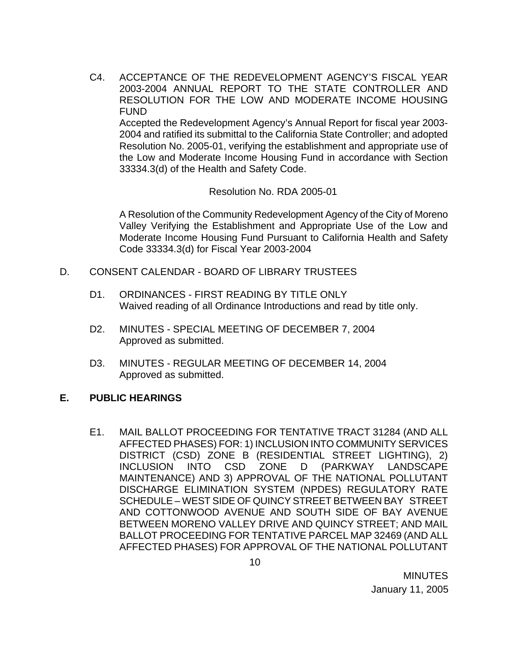C4. ACCEPTANCE OF THE REDEVELOPMENT AGENCY'S FISCAL YEAR 2003-2004 ANNUAL REPORT TO THE STATE CONTROLLER AND RESOLUTION FOR THE LOW AND MODERATE INCOME HOUSING FUND Accepted the Redevelopment Agency's Annual Report for fiscal year 2003- 2004 and ratified its submittal to the California State Controller; and adopted

Resolution No. 2005-01, verifying the establishment and appropriate use of the Low and Moderate Income Housing Fund in accordance with Section 33334.3(d) of the Health and Safety Code.

Resolution No. RDA 2005-01

A Resolution of the Community Redevelopment Agency of the City of Moreno Valley Verifying the Establishment and Appropriate Use of the Low and Moderate Income Housing Fund Pursuant to California Health and Safety Code 33334.3(d) for Fiscal Year 2003-2004

- D. CONSENT CALENDAR BOARD OF LIBRARY TRUSTEES
	- D1. ORDINANCES FIRST READING BY TITLE ONLY Waived reading of all Ordinance Introductions and read by title only.
	- D2. MINUTES SPECIAL MEETING OF DECEMBER 7, 2004 Approved as submitted.
	- D3. MINUTES REGULAR MEETING OF DECEMBER 14, 2004 Approved as submitted.

### **E. PUBLIC HEARINGS**

E1. MAIL BALLOT PROCEEDING FOR TENTATIVE TRACT 31284 (AND ALL AFFECTED PHASES) FOR: 1) INCLUSION INTO COMMUNITY SERVICES DISTRICT (CSD) ZONE B (RESIDENTIAL STREET LIGHTING), 2) INCLUSION INTO CSD ZONE D (PARKWAY LANDSCAPE MAINTENANCE) AND 3) APPROVAL OF THE NATIONAL POLLUTANT DISCHARGE ELIMINATION SYSTEM (NPDES) REGULATORY RATE SCHEDULE – WEST SIDE OF QUINCY STREET BETWEEN BAY STREET AND COTTONWOOD AVENUE AND SOUTH SIDE OF BAY AVENUE BETWEEN MORENO VALLEY DRIVE AND QUINCY STREET; AND MAIL BALLOT PROCEEDING FOR TENTATIVE PARCEL MAP 32469 (AND ALL AFFECTED PHASES) FOR APPROVAL OF THE NATIONAL POLLUTANT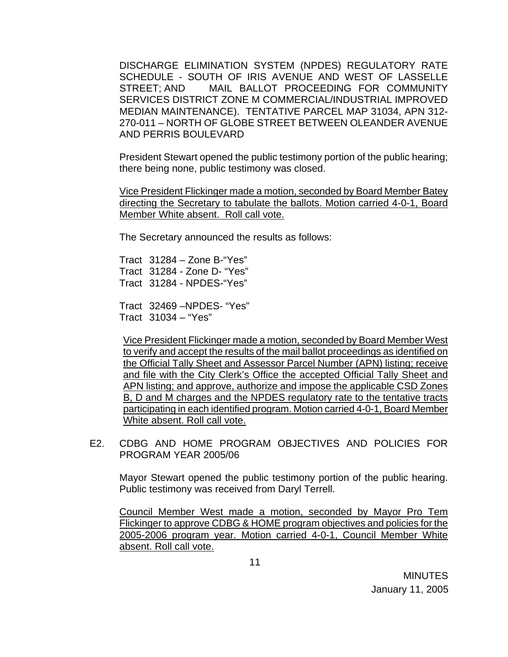DISCHARGE ELIMINATION SYSTEM (NPDES) REGULATORY RATE SCHEDULE - SOUTH OF IRIS AVENUE AND WEST OF LASSELLE STREET; AND MAIL BALLOT PROCEEDING FOR COMMUNITY SERVICES DISTRICT ZONE M COMMERCIAL/INDUSTRIAL IMPROVED MEDIAN MAINTENANCE). TENTATIVE PARCEL MAP 31034, APN 312- 270-011 – NORTH OF GLOBE STREET BETWEEN OLEANDER AVENUE AND PERRIS BOULEVARD

 President Stewart opened the public testimony portion of the public hearing; there being none, public testimony was closed.

Vice President Flickinger made a motion, seconded by Board Member Batey directing the Secretary to tabulate the ballots. Motion carried 4-0-1, Board Member White absent. Roll call vote.

The Secretary announced the results as follows:

 Tract 31284 – Zone B-"Yes" Tract 31284 - Zone D- "Yes" Tract 31284 - NPDES-"Yes"

 Tract 32469 –NPDES- "Yes" Tract 31034 – "Yes"

Vice President Flickinger made a motion, seconded by Board Member West to verify and accept the results of the mail ballot proceedings as identified on the Official Tally Sheet and Assessor Parcel Number (APN) listing; receive and file with the City Clerk's Office the accepted Official Tally Sheet and APN listing; and approve, authorize and impose the applicable CSD Zones B, D and M charges and the NPDES regulatory rate to the tentative tracts participating in each identified program. Motion carried 4-0-1, Board Member White absent. Roll call vote.

E2. CDBG AND HOME PROGRAM OBJECTIVES AND POLICIES FOR PROGRAM YEAR 2005/06

 Mayor Stewart opened the public testimony portion of the public hearing. Public testimony was received from Daryl Terrell.

Council Member West made a motion, seconded by Mayor Pro Tem Flickinger to approve CDBG & HOME program objectives and policies for the 2005-2006 program year. Motion carried 4-0-1, Council Member White absent. Roll call vote.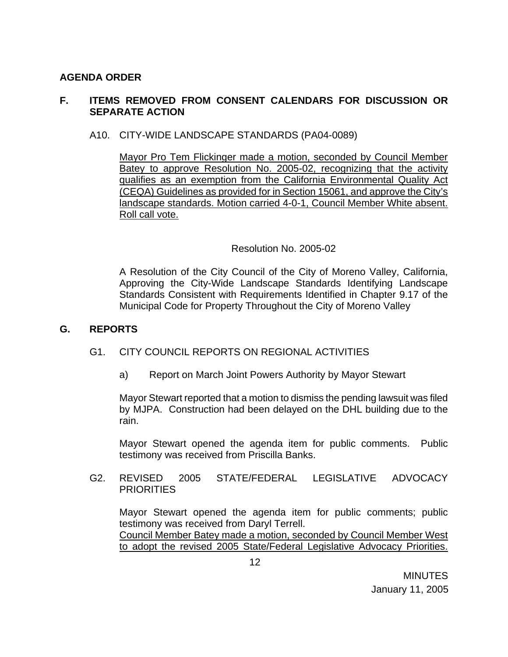## **AGENDA ORDER**

## **F. ITEMS REMOVED FROM CONSENT CALENDARS FOR DISCUSSION OR SEPARATE ACTION**

### A10. CITY-WIDE LANDSCAPE STANDARDS (PA04-0089)

Mayor Pro Tem Flickinger made a motion, seconded by Council Member Batey to approve Resolution No. 2005-02, recognizing that the activity qualifies as an exemption from the California Environmental Quality Act (CEQA) Guidelines as provided for in Section 15061, and approve the City's landscape standards. Motion carried 4-0-1, Council Member White absent. Roll call vote.

### Resolution No. 2005-02

 A Resolution of the City Council of the City of Moreno Valley, California, Approving the City-Wide Landscape Standards Identifying Landscape Standards Consistent with Requirements Identified in Chapter 9.17 of the Municipal Code for Property Throughout the City of Moreno Valley

#### **G. REPORTS**

#### G1. CITY COUNCIL REPORTS ON REGIONAL ACTIVITIES

a) Report on March Joint Powers Authority by Mayor Stewart

Mayor Stewart reported that a motion to dismiss the pending lawsuit was filed by MJPA. Construction had been delayed on the DHL building due to the rain.

Mayor Stewart opened the agenda item for public comments. Public testimony was received from Priscilla Banks.

G2. REVISED 2005 STATE/FEDERAL LEGISLATIVE ADVOCACY **PRIORITIES** 

Mayor Stewart opened the agenda item for public comments; public testimony was received from Daryl Terrell.

Council Member Batey made a motion, seconded by Council Member West to adopt the revised 2005 State/Federal Legislative Advocacy Priorities.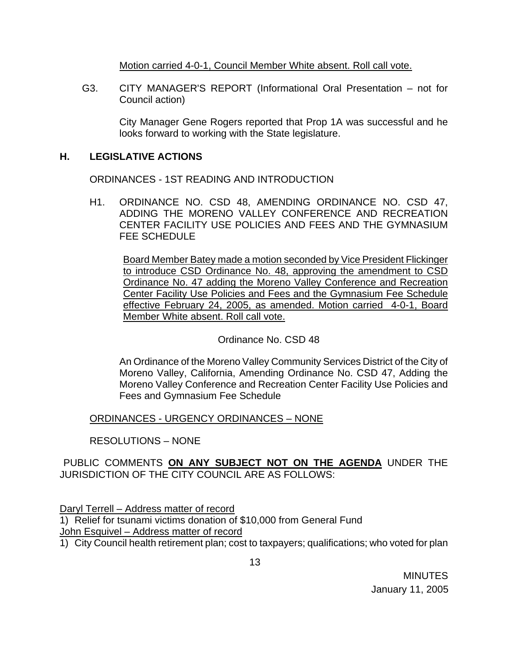Motion carried 4-0-1, Council Member White absent. Roll call vote.

G3. CITY MANAGER'S REPORT (Informational Oral Presentation – not for Council action)

 City Manager Gene Rogers reported that Prop 1A was successful and he looks forward to working with the State legislature.

# **H. LEGISLATIVE ACTIONS**

ORDINANCES - 1ST READING AND INTRODUCTION

H1. ORDINANCE NO. CSD 48, AMENDING ORDINANCE NO. CSD 47, ADDING THE MORENO VALLEY CONFERENCE AND RECREATION CENTER FACILITY USE POLICIES AND FEES AND THE GYMNASIUM FEE SCHEDULE

Board Member Batey made a motion seconded by Vice President Flickinger to introduce CSD Ordinance No. 48, approving the amendment to CSD Ordinance No. 47 adding the Moreno Valley Conference and Recreation Center Facility Use Policies and Fees and the Gymnasium Fee Schedule effective February 24, 2005, as amended. Motion carried 4-0-1, Board Member White absent. Roll call vote.

Ordinance No. CSD 48

An Ordinance of the Moreno Valley Community Services District of the City of Moreno Valley, California, Amending Ordinance No. CSD 47, Adding the Moreno Valley Conference and Recreation Center Facility Use Policies and Fees and Gymnasium Fee Schedule

ORDINANCES - URGENCY ORDINANCES – NONE

RESOLUTIONS – NONE

PUBLIC COMMENTS **ON ANY SUBJECT NOT ON THE AGENDA** UNDER THE JURISDICTION OF THE CITY COUNCIL ARE AS FOLLOWS:

Daryl Terrell – Address matter of record

1) Relief for tsunami victims donation of \$10,000 from General Fund John Esquivel – Address matter of record

1) City Council health retirement plan; cost to taxpayers; qualifications; who voted for plan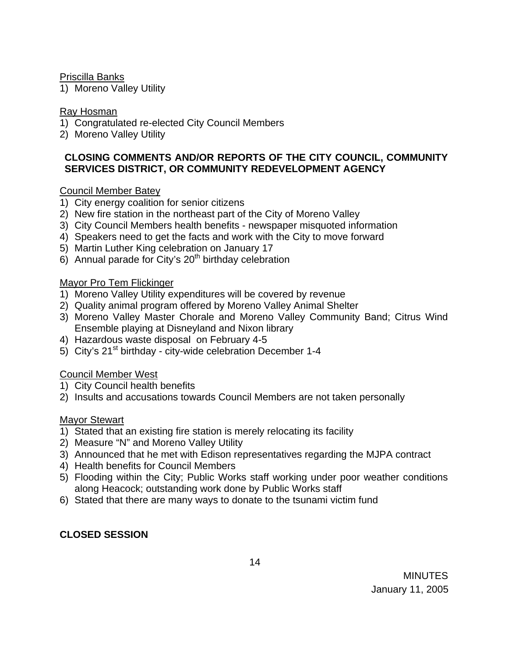Priscilla Banks

1) Moreno Valley Utility

### Ray Hosman

- 1) Congratulated re-elected City Council Members
- 2) Moreno Valley Utility

## **CLOSING COMMENTS AND/OR REPORTS OF THE CITY COUNCIL, COMMUNITY SERVICES DISTRICT, OR COMMUNITY REDEVELOPMENT AGENCY**

## Council Member Batey

- 1) City energy coalition for senior citizens
- 2) New fire station in the northeast part of the City of Moreno Valley
- 3) City Council Members health benefits newspaper misquoted information
- 4) Speakers need to get the facts and work with the City to move forward
- 5) Martin Luther King celebration on January 17
- 6) Annual parade for City's  $20<sup>th</sup>$  birthday celebration

## Mayor Pro Tem Flickinger

- 1) Moreno Valley Utility expenditures will be covered by revenue
- 2) Quality animal program offered by Moreno Valley Animal Shelter
- 3) Moreno Valley Master Chorale and Moreno Valley Community Band; Citrus Wind Ensemble playing at Disneyland and Nixon library
- 4) Hazardous waste disposal on February 4-5
- 5) City's  $21<sup>st</sup>$  birthday city-wide celebration December 1-4

### Council Member West

- 1) City Council health benefits
- 2) Insults and accusations towards Council Members are not taken personally

# Mayor Stewart

- 1) Stated that an existing fire station is merely relocating its facility
- 2) Measure "N" and Moreno Valley Utility
- 3) Announced that he met with Edison representatives regarding the MJPA contract
- 4) Health benefits for Council Members
- 5) Flooding within the City; Public Works staff working under poor weather conditions along Heacock; outstanding work done by Public Works staff
- 6) Stated that there are many ways to donate to the tsunami victim fund

# **CLOSED SESSION**